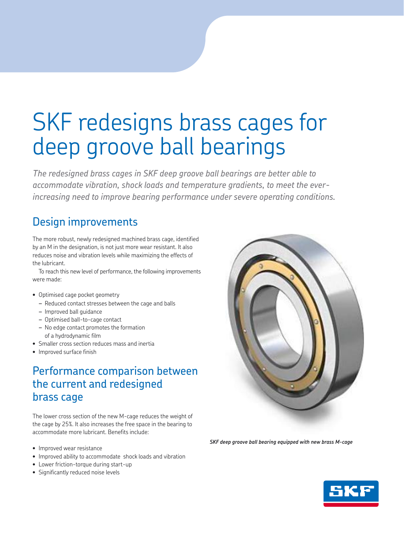# SKF redesigns brass cages for deep groove ball bearings

*The redesigned brass cages in SKF deep groove ball bearings are better able to accommodate vibration, shock loads and temperature gradients, to meet the everincreasing need to improve bearing performance under severe operating conditions.*

# Design improvements

The more robust, newly redesigned machined brass cage, identified by an M in the designation, is not just more wear resistant. It also reduces noise and vibration levels while maximizing the effects of the lubricant.

To reach this new level of performance, the following improvements were made:

### • Optimised cage pocket geometry

- *–* Reduced contact stresses between the cage and balls
- *–* Improved ball guidance
- *–* Optimised ball-to-cage contact
- *–* No edge contact promotes the formation of a hydrodynamic film
- Smaller cross section reduces mass and inertia
- Improved surface finish

## Performance comparison between the current and redesigned brass cage

The lower cross section of the new M-cage reduces the weight of the cage by 25%. It also increases the free space in the bearing to accommodate more lubricant. Benefits include:

- Improved wear resistance
- Improved ability to accommodate shock loads and vibration
- Lower friction-torque during start-up
- Significantly reduced noise levels



*SKF deep groove ball bearing equipped with new brass M-cage*